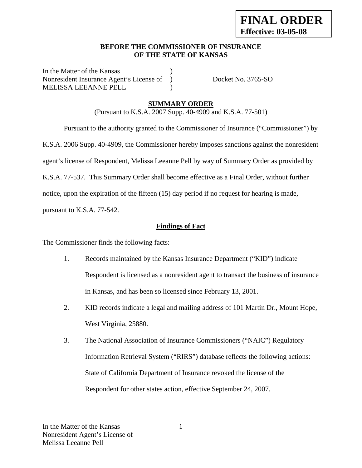## **BEFORE THE COMMISSIONER OF INSURANCE OF THE STATE OF KANSAS**

In the Matter of the Kansas Nonresident Insurance Agent's License of ) Docket No. 3765-SO MELISSA LEEANNE PELL )

## **SUMMARY ORDER**

(Pursuant to K.S.A. 2007 Supp. 40-4909 and K.S.A. 77-501)

 Pursuant to the authority granted to the Commissioner of Insurance ("Commissioner") by K.S.A. 2006 Supp. 40-4909, the Commissioner hereby imposes sanctions against the nonresident agent's license of Respondent, Melissa Leeanne Pell by way of Summary Order as provided by K.S.A. 77-537. This Summary Order shall become effective as a Final Order, without further notice, upon the expiration of the fifteen (15) day period if no request for hearing is made,

pursuant to K.S.A. 77-542.

## **Findings of Fact**

The Commissioner finds the following facts:

- 1. Records maintained by the Kansas Insurance Department ("KID") indicate Respondent is licensed as a nonresident agent to transact the business of insurance in Kansas, and has been so licensed since February 13, 2001.
- 2. KID records indicate a legal and mailing address of 101 Martin Dr., Mount Hope, West Virginia, 25880.
- 3. The National Association of Insurance Commissioners ("NAIC") Regulatory Information Retrieval System ("RIRS") database reflects the following actions: State of California Department of Insurance revoked the license of the Respondent for other states action, effective September 24, 2007.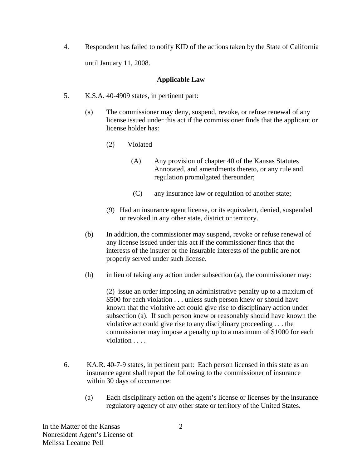4. Respondent has failed to notify KID of the actions taken by the State of California until January 11, 2008.

## **Applicable Law**

- 5. K.S.A. 40-4909 states, in pertinent part:
	- (a) The commissioner may deny, suspend, revoke, or refuse renewal of any license issued under this act if the commissioner finds that the applicant or license holder has:
		- (2) Violated
			- (A) Any provision of chapter 40 of the Kansas Statutes Annotated, and amendments thereto, or any rule and regulation promulgated thereunder;
			- (C) any insurance law or regulation of another state;
		- (9) Had an insurance agent license, or its equivalent, denied, suspended or revoked in any other state, district or territory.
	- (b) In addition, the commissioner may suspend, revoke or refuse renewal of any license issued under this act if the commissioner finds that the interests of the insurer or the insurable interests of the public are not properly served under such license.
	- (h) in lieu of taking any action under subsection (a), the commissioner may:

(2) issue an order imposing an administrative penalty up to a maxium of \$500 for each violation . . . unless such person knew or should have known that the violative act could give rise to disciplinary action under subsection (a). If such person knew or reasonably should have known the violative act could give rise to any disciplinary proceeding . . . the commissioner may impose a penalty up to a maximum of \$1000 for each violation . . . .

- 6. KA.R. 40-7-9 states, in pertinent part: Each person licensed in this state as an insurance agent shall report the following to the commissioner of insurance within 30 days of occurrence:
	- (a) Each disciplinary action on the agent's license or licenses by the insurance regulatory agency of any other state or territory of the United States.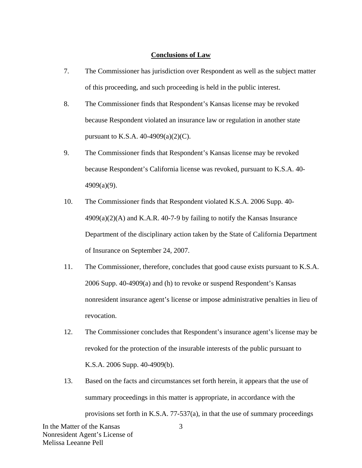#### **Conclusions of Law**

- 7. The Commissioner has jurisdiction over Respondent as well as the subject matter of this proceeding, and such proceeding is held in the public interest.
- 8. The Commissioner finds that Respondent's Kansas license may be revoked because Respondent violated an insurance law or regulation in another state pursuant to K.S.A.  $40-4909(a)(2)(C)$ .
- 9. The Commissioner finds that Respondent's Kansas license may be revoked because Respondent's California license was revoked, pursuant to K.S.A. 40- 4909(a)(9).
- 10. The Commissioner finds that Respondent violated K.S.A. 2006 Supp. 40-  $4909(a)(2)$ (A) and K.A.R. 40-7-9 by failing to notify the Kansas Insurance Department of the disciplinary action taken by the State of California Department of Insurance on September 24, 2007.
- 11. The Commissioner, therefore, concludes that good cause exists pursuant to K.S.A. 2006 Supp. 40-4909(a) and (h) to revoke or suspend Respondent's Kansas nonresident insurance agent's license or impose administrative penalties in lieu of revocation.
- 12. The Commissioner concludes that Respondent's insurance agent's license may be revoked for the protection of the insurable interests of the public pursuant to K.S.A. 2006 Supp. 40-4909(b).
- In the Matter of the Kansas 3 13. Based on the facts and circumstances set forth herein, it appears that the use of summary proceedings in this matter is appropriate, in accordance with the provisions set forth in K.S.A. 77-537(a), in that the use of summary proceedings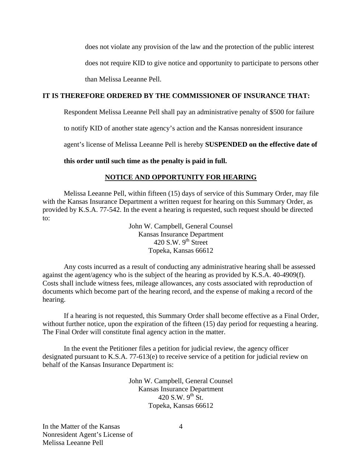does not violate any provision of the law and the protection of the public interest does not require KID to give notice and opportunity to participate to persons other than Melissa Leeanne Pell.

## **IT IS THEREFORE ORDERED BY THE COMMISSIONER OF INSURANCE THAT:**

Respondent Melissa Leeanne Pell shall pay an administrative penalty of \$500 for failure

to notify KID of another state agency's action and the Kansas nonresident insurance

agent's license of Melissa Leeanne Pell is hereby **SUSPENDED on the effective date of** 

**this order until such time as the penalty is paid in full.** 

### **NOTICE AND OPPORTUNITY FOR HEARING**

Melissa Leeanne Pell, within fifteen (15) days of service of this Summary Order, may file with the Kansas Insurance Department a written request for hearing on this Summary Order, as provided by K.S.A. 77-542. In the event a hearing is requested, such request should be directed to:

> John W. Campbell, General Counsel Kansas Insurance Department  $420$  S.W.  $9<sup>th</sup>$  Street Topeka, Kansas 66612

Any costs incurred as a result of conducting any administrative hearing shall be assessed against the agent/agency who is the subject of the hearing as provided by K.S.A. 40-4909(f). Costs shall include witness fees, mileage allowances, any costs associated with reproduction of documents which become part of the hearing record, and the expense of making a record of the hearing.

If a hearing is not requested, this Summary Order shall become effective as a Final Order, without further notice, upon the expiration of the fifteen (15) day period for requesting a hearing. The Final Order will constitute final agency action in the matter.

In the event the Petitioner files a petition for judicial review, the agency officer designated pursuant to K.S.A. 77-613(e) to receive service of a petition for judicial review on behalf of the Kansas Insurance Department is:

> John W. Campbell, General Counsel Kansas Insurance Department 420 S.W.  $9^{th}$  St. Topeka, Kansas 66612

In the Matter of the Kansas Nonresident Agent's License of Melissa Leeanne Pell